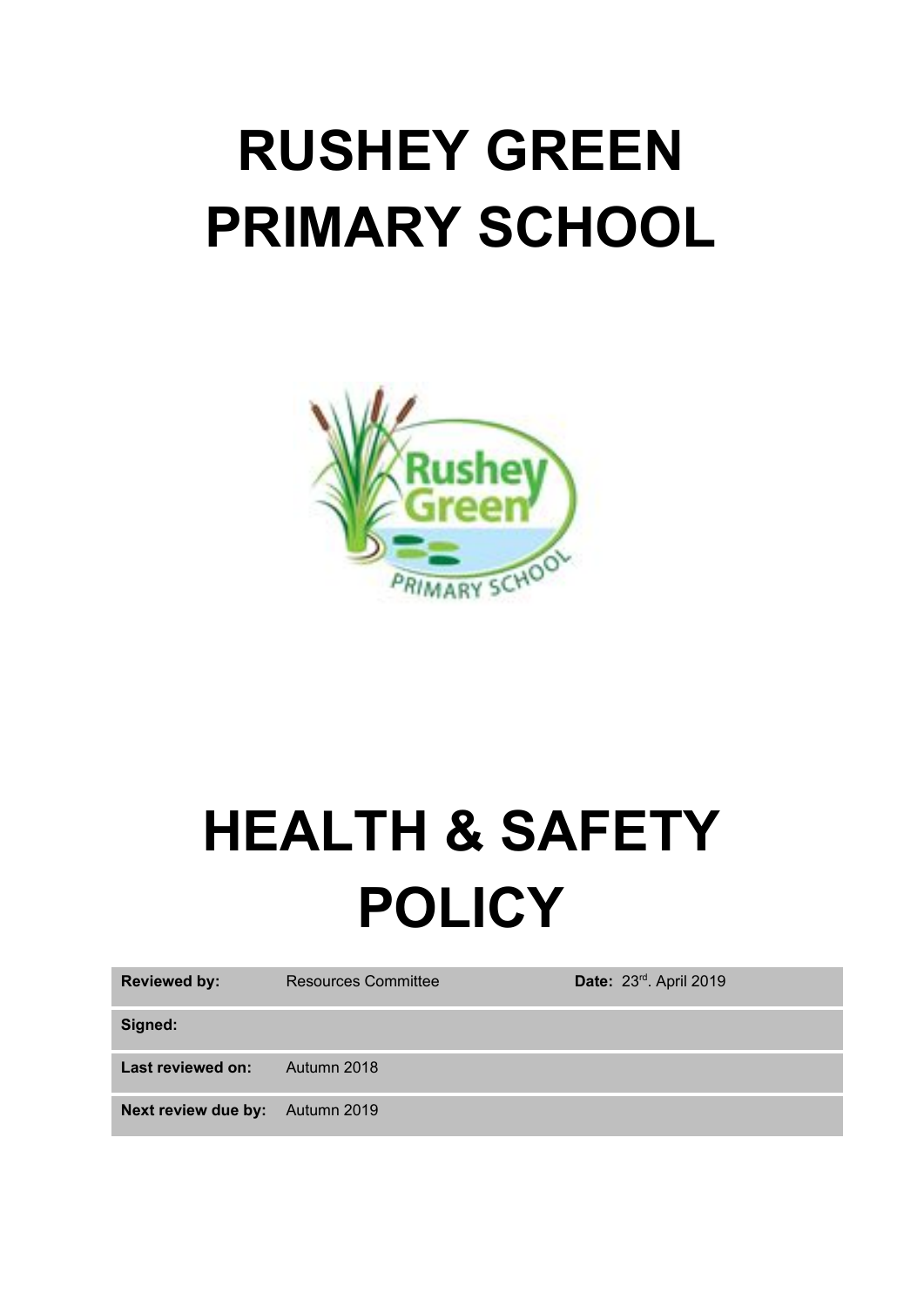# **RUSHEY GREEN PRIMARY SCHOOL**



# **HEALTH & SAFETY POLICY**

| <b>Reviewed by:</b>                    | <b>Resources Committee</b> | Date: 23rd. April 2019 |
|----------------------------------------|----------------------------|------------------------|
| Signed:                                |                            |                        |
| Last reviewed on:                      | Autumn 2018                |                        |
| <b>Next review due by:</b> Autumn 2019 |                            |                        |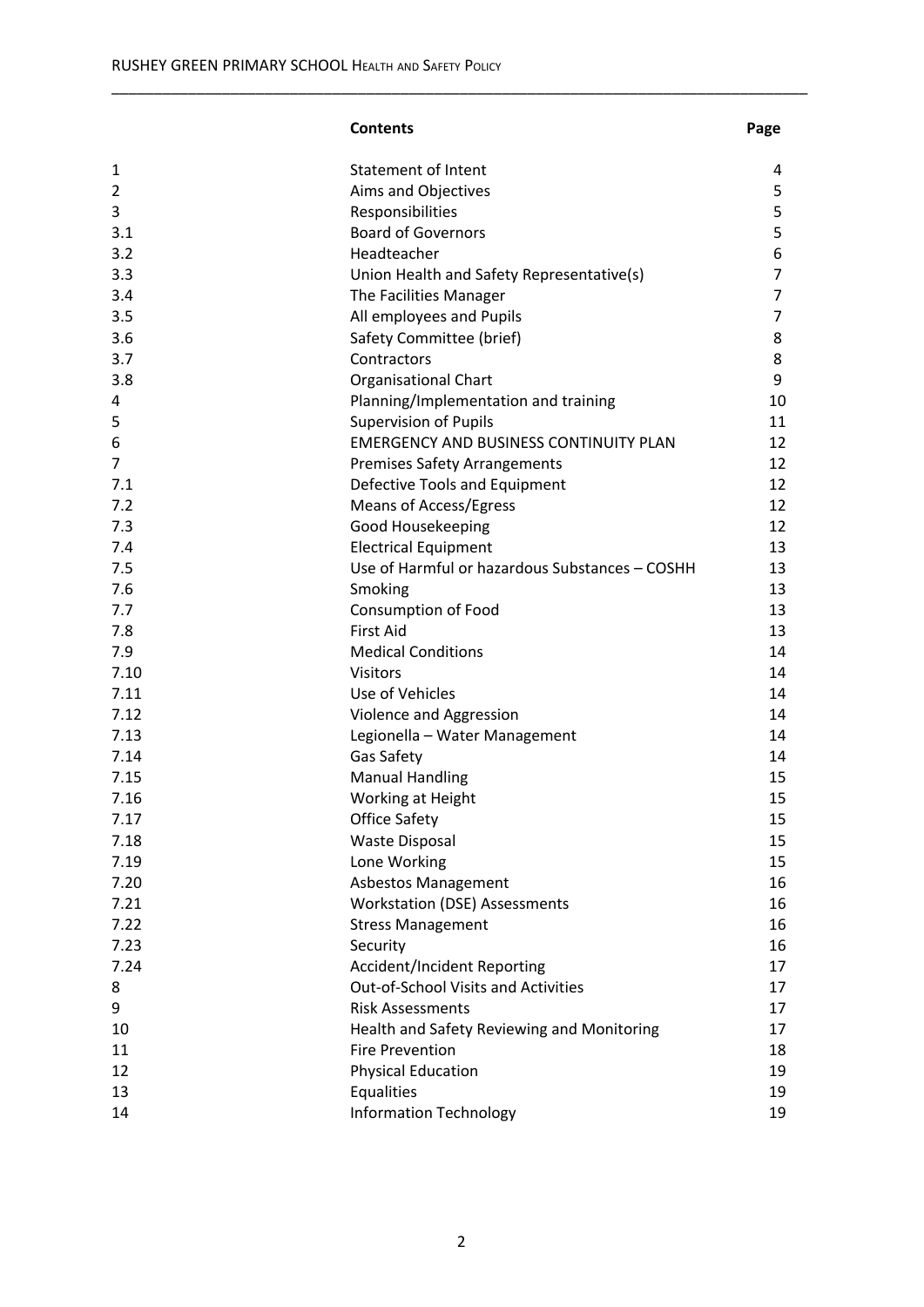#### **Contents Page**

| 1    | <b>Statement of Intent</b>                     | 4              |
|------|------------------------------------------------|----------------|
| 2    | Aims and Objectives                            | 5              |
| 3    | Responsibilities                               | 5              |
| 3.1  | <b>Board of Governors</b>                      | 5              |
| 3.2  | Headteacher                                    | 6              |
| 3.3  | Union Health and Safety Representative(s)      | $\overline{7}$ |
| 3.4  | The Facilities Manager                         | $\overline{7}$ |
| 3.5  | All employees and Pupils                       | $\overline{7}$ |
| 3.6  | Safety Committee (brief)                       | 8              |
| 3.7  | Contractors                                    | 8              |
| 3.8  | <b>Organisational Chart</b>                    | 9              |
| 4    | Planning/Implementation and training           | 10             |
| 5    | <b>Supervision of Pupils</b>                   | 11             |
| 6    | <b>EMERGENCY AND BUSINESS CONTINUITY PLAN</b>  | 12             |
| 7    | <b>Premises Safety Arrangements</b>            | 12             |
| 7.1  | Defective Tools and Equipment                  | 12             |
| 7.2  | <b>Means of Access/Egress</b>                  | 12             |
| 7.3  | Good Housekeeping                              | 12             |
| 7.4  | <b>Electrical Equipment</b>                    | 13             |
| 7.5  | Use of Harmful or hazardous Substances - COSHH | 13             |
| 7.6  | Smoking                                        | 13             |
| 7.7  | <b>Consumption of Food</b>                     | 13             |
| 7.8  | <b>First Aid</b>                               | 13             |
|      |                                                |                |
| 7.9  | <b>Medical Conditions</b>                      | 14             |
| 7.10 | <b>Visitors</b>                                | 14             |
| 7.11 | Use of Vehicles                                | 14             |
| 7.12 | Violence and Aggression                        | 14             |
| 7.13 | Legionella - Water Management                  | 14             |
| 7.14 | Gas Safety                                     | 14             |
| 7.15 | <b>Manual Handling</b>                         | 15             |
| 7.16 | Working at Height                              | 15             |
| 7.17 | <b>Office Safety</b>                           | 15             |
| 7.18 | <b>Waste Disposal</b>                          | 15             |
| 7.19 | Lone Working                                   | 15             |
| 7.20 | <b>Asbestos Management</b>                     | 16             |
| 7.21 | <b>Workstation (DSE) Assessments</b>           | 16             |
| 7.22 | <b>Stress Management</b>                       | 16             |
| 7.23 | Security                                       | 16             |
| 7.24 | <b>Accident/Incident Reporting</b>             | 17             |
| 8    | Out-of-School Visits and Activities            | 17             |
| 9    | <b>Risk Assessments</b>                        | 17             |
| 10   | Health and Safety Reviewing and Monitoring     | 17             |
| 11   | <b>Fire Prevention</b>                         | 18             |
| 12   | <b>Physical Education</b>                      | 19             |
| 13   | Equalities                                     | 19             |
| 14   | <b>Information Technology</b>                  | 19             |
|      |                                                |                |

\_\_\_\_\_\_\_\_\_\_\_\_\_\_\_\_\_\_\_\_\_\_\_\_\_\_\_\_\_\_\_\_\_\_\_\_\_\_\_\_\_\_\_\_\_\_\_\_\_\_\_\_\_\_\_\_\_\_\_\_\_\_\_\_\_\_\_\_\_\_\_\_\_\_\_\_\_\_\_\_\_\_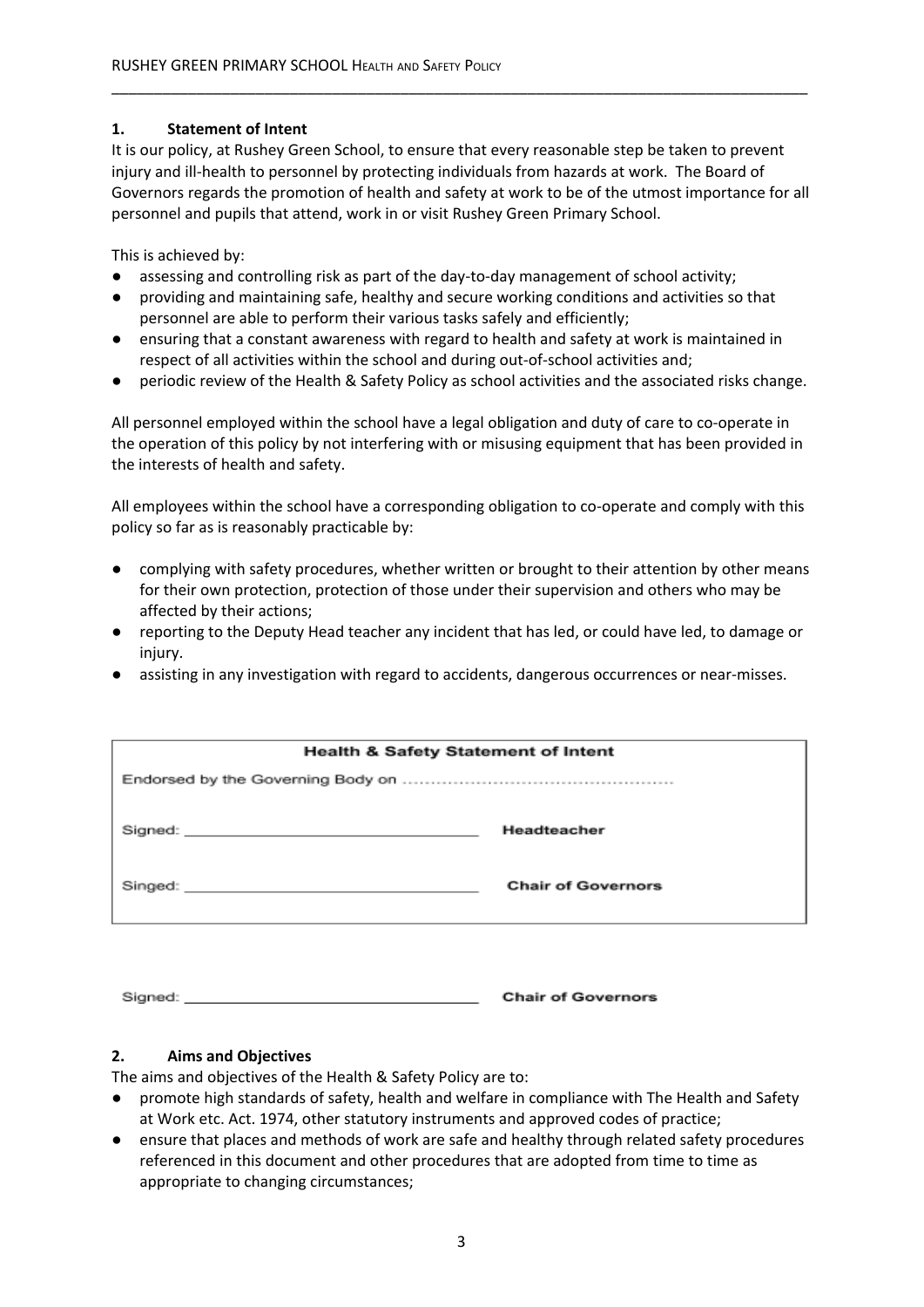## **1. Statement of Intent**

It is our policy, at Rushey Green School, to ensure that every reasonable step be taken to prevent injury and ill-health to personnel by protecting individuals from hazards at work. The Board of Governors regards the promotion of health and safety at work to be of the utmost importance for all personnel and pupils that attend, work in or visit Rushey Green Primary School.

\_\_\_\_\_\_\_\_\_\_\_\_\_\_\_\_\_\_\_\_\_\_\_\_\_\_\_\_\_\_\_\_\_\_\_\_\_\_\_\_\_\_\_\_\_\_\_\_\_\_\_\_\_\_\_\_\_\_\_\_\_\_\_\_\_\_\_\_\_\_\_\_\_\_\_\_\_\_\_\_\_\_

This is achieved by:

- assessing and controlling risk as part of the day-to-day management of school activity;
- providing and maintaining safe, healthy and secure working conditions and activities so that personnel are able to perform their various tasks safely and efficiently;
- ensuring that a constant awareness with regard to health and safety at work is maintained in respect of all activities within the school and during out-of-school activities and;
- periodic review of the Health & Safety Policy as school activities and the associated risks change.

All personnel employed within the school have a legal obligation and duty of care to co-operate in the operation of this policy by not interfering with or misusing equipment that has been provided in the interests of health and safety.

All employees within the school have a corresponding obligation to co-operate and comply with this policy so far as is reasonably practicable by:

- complying with safety procedures, whether written or brought to their attention by other means for their own protection, protection of those under their supervision and others who may be affected by their actions;
- reporting to the Deputy Head teacher any incident that has led, or could have led, to damage or injury.
- assisting in any investigation with regard to accidents, dangerous occurrences or near-misses.

| <b>Health &amp; Safety Statement of Intent</b> |                           |  |
|------------------------------------------------|---------------------------|--|
|                                                |                           |  |
|                                                | Headteacher               |  |
|                                                | <b>Chair of Governors</b> |  |

**Chair of Governors** Signed:

# **2. Aims and Objectives**

The aims and objectives of the Health & Safety Policy are to:

- promote high standards of safety, health and welfare in compliance with The Health and Safety at Work etc. Act. 1974, other statutory instruments and approved codes of practice;
- ensure that places and methods of work are safe and healthy through related safety procedures referenced in this document and other procedures that are adopted from time to time as appropriate to changing circumstances;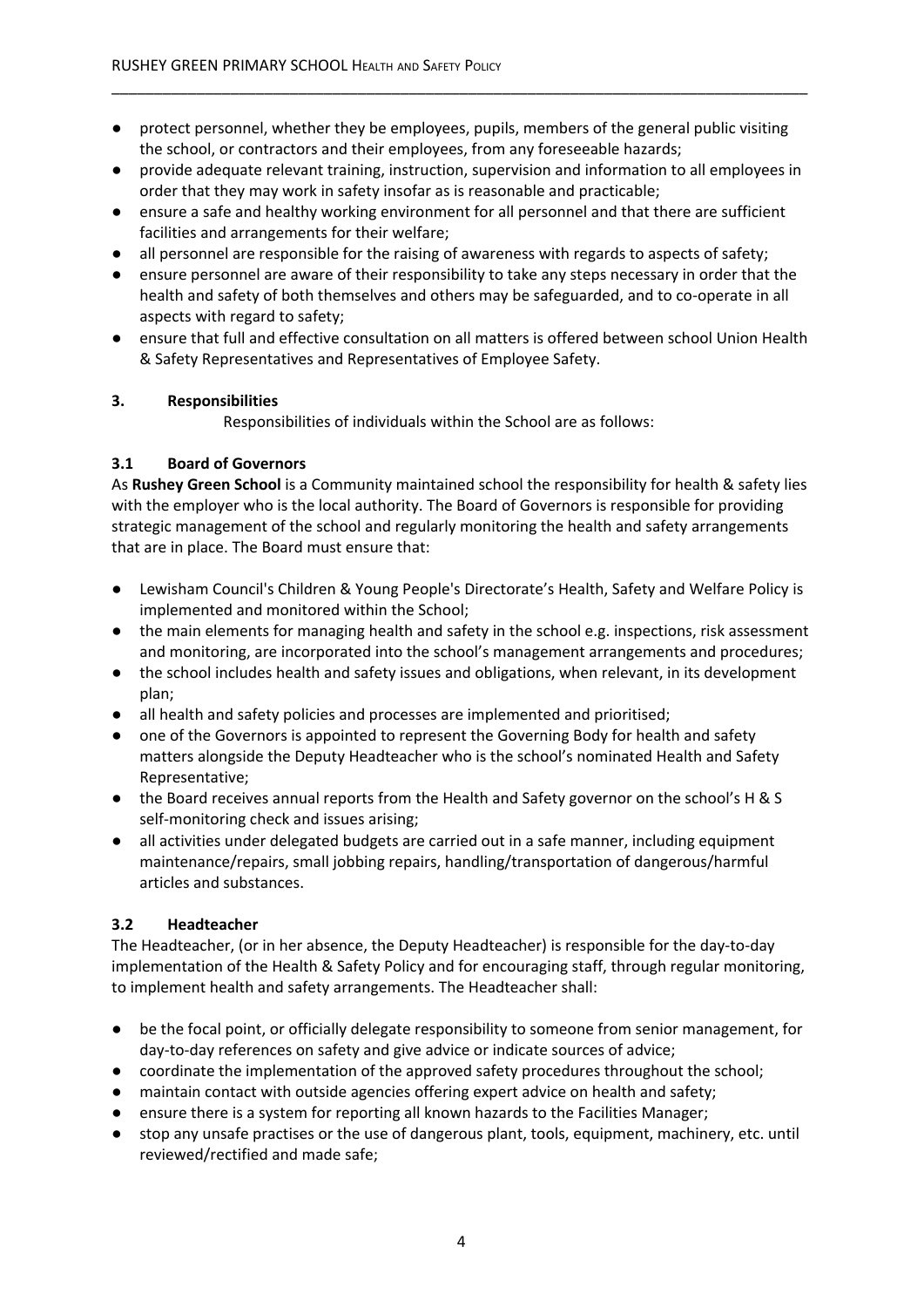● protect personnel, whether they be employees, pupils, members of the general public visiting the school, or contractors and their employees, from any foreseeable hazards;

\_\_\_\_\_\_\_\_\_\_\_\_\_\_\_\_\_\_\_\_\_\_\_\_\_\_\_\_\_\_\_\_\_\_\_\_\_\_\_\_\_\_\_\_\_\_\_\_\_\_\_\_\_\_\_\_\_\_\_\_\_\_\_\_\_\_\_\_\_\_\_\_\_\_\_\_\_\_\_\_\_\_

- provide adequate relevant training, instruction, supervision and information to all employees in order that they may work in safety insofar as is reasonable and practicable;
- ensure a safe and healthy working environment for all personnel and that there are sufficient facilities and arrangements for their welfare;
- all personnel are responsible for the raising of awareness with regards to aspects of safety;
- ensure personnel are aware of their responsibility to take any steps necessary in order that the health and safety of both themselves and others may be safeguarded, and to co-operate in all aspects with regard to safety;
- ensure that full and effective consultation on all matters is offered between school Union Health & Safety Representatives and Representatives of Employee Safety.

#### **3. Responsibilities**

Responsibilities of individuals within the School are as follows:

#### **3.1 Board of Governors**

As **Rushey Green School** is a Community maintained school the responsibility for health & safety lies with the employer who is the local authority. The Board of Governors is responsible for providing strategic management of the school and regularly monitoring the health and safety arrangements that are in place. The Board must ensure that:

- Lewisham Council's Children & Young People's Directorate's Health, Safety and Welfare Policy is implemented and monitored within the School;
- the main elements for managing health and safety in the school e.g. inspections, risk assessment and monitoring, are incorporated into the school's management arrangements and procedures;
- the school includes health and safety issues and obligations, when relevant, in its development plan;
- all health and safety policies and processes are implemented and prioritised;
- one of the Governors is appointed to represent the Governing Body for health and safety matters alongside the Deputy Headteacher who is the school's nominated Health and Safety Representative;
- the Board receives annual reports from the Health and Safety governor on the school's H & S self-monitoring check and issues arising;
- all activities under delegated budgets are carried out in a safe manner, including equipment maintenance/repairs, small jobbing repairs, handling/transportation of dangerous/harmful articles and substances.

#### **3.2 Headteacher**

The Headteacher, (or in her absence, the Deputy Headteacher) is responsible for the day-to-day implementation of the Health & Safety Policy and for encouraging staff, through regular monitoring, to implement health and safety arrangements. The Headteacher shall:

- be the focal point, or officially delegate responsibility to someone from senior management, for day-to-day references on safety and give advice or indicate sources of advice;
- coordinate the implementation of the approved safety procedures throughout the school;
- maintain contact with outside agencies offering expert advice on health and safety;
- ensure there is a system for reporting all known hazards to the Facilities Manager;
- stop any unsafe practises or the use of dangerous plant, tools, equipment, machinery, etc. until reviewed/rectified and made safe;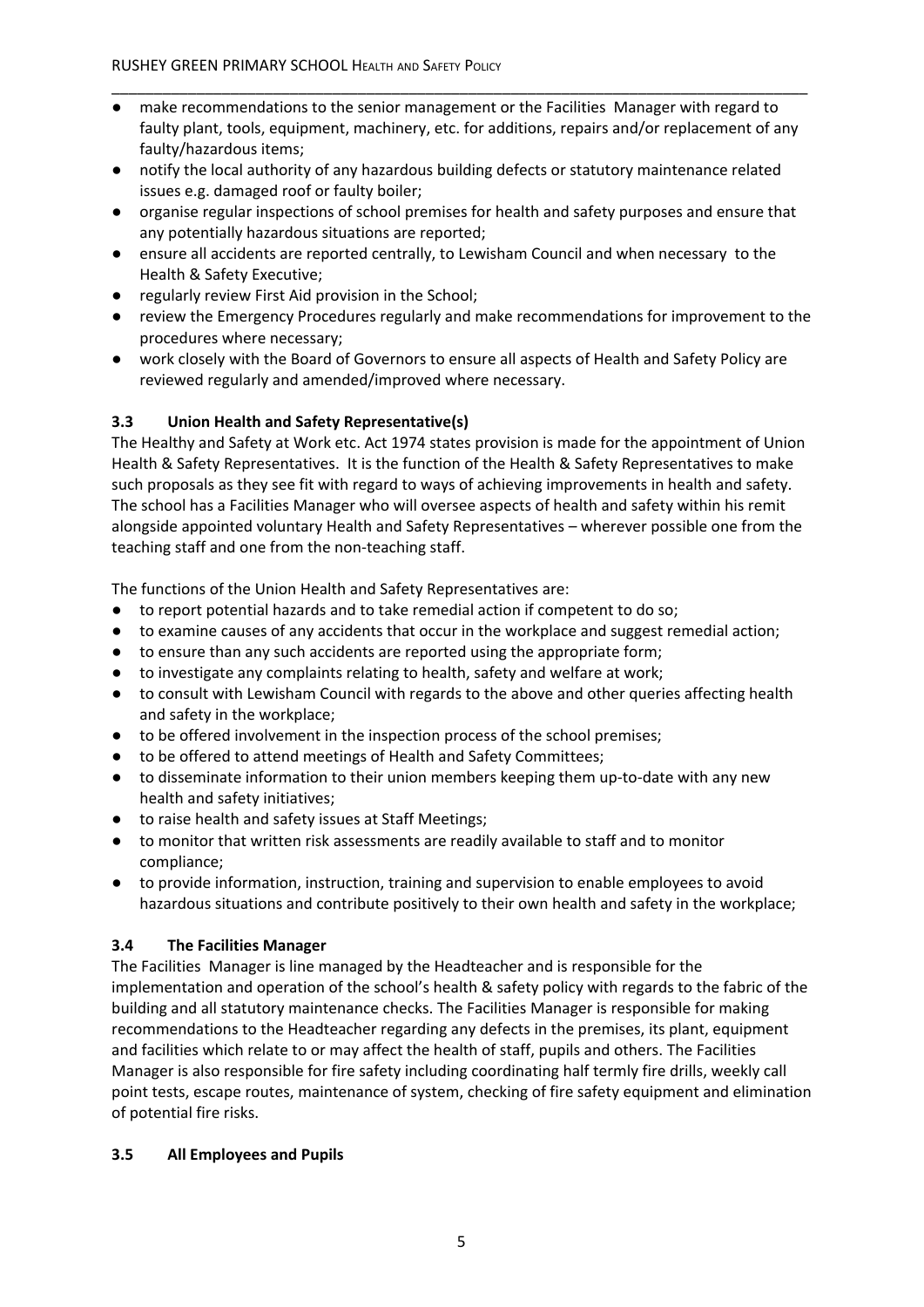● make recommendations to the senior management or the Facilities Manager with regard to faulty plant, tools, equipment, machinery, etc. for additions, repairs and/or replacement of any faulty/hazardous items;

\_\_\_\_\_\_\_\_\_\_\_\_\_\_\_\_\_\_\_\_\_\_\_\_\_\_\_\_\_\_\_\_\_\_\_\_\_\_\_\_\_\_\_\_\_\_\_\_\_\_\_\_\_\_\_\_\_\_\_\_\_\_\_\_\_\_\_\_\_\_\_\_\_\_\_\_\_\_\_\_\_\_

- notify the local authority of any hazardous building defects or statutory maintenance related issues e.g. damaged roof or faulty boiler;
- organise regular inspections of school premises for health and safety purposes and ensure that any potentially hazardous situations are reported;
- ensure all accidents are reported centrally, to Lewisham Council and when necessary to the Health & Safety Executive;
- regularly review First Aid provision in the School;
- review the Emergency Procedures regularly and make recommendations for improvement to the procedures where necessary;
- work closely with the Board of Governors to ensure all aspects of Health and Safety Policy are reviewed regularly and amended/improved where necessary.

# **3.3 Union Health and Safety Representative(s)**

The Healthy and Safety at Work etc. Act 1974 states provision is made for the appointment of Union Health & Safety Representatives. It is the function of the Health & Safety Representatives to make such proposals as they see fit with regard to ways of achieving improvements in health and safety. The school has a Facilities Manager who will oversee aspects of health and safety within his remit alongside appointed voluntary Health and Safety Representatives – wherever possible one from the teaching staff and one from the non-teaching staff.

The functions of the Union Health and Safety Representatives are:

- to report potential hazards and to take remedial action if competent to do so;
- to examine causes of any accidents that occur in the workplace and suggest remedial action;
- to ensure than any such accidents are reported using the appropriate form;
- to investigate any complaints relating to health, safety and welfare at work;
- to consult with Lewisham Council with regards to the above and other queries affecting health and safety in the workplace;
- to be offered involvement in the inspection process of the school premises;
- to be offered to attend meetings of Health and Safety Committees;
- to disseminate information to their union members keeping them up-to-date with any new health and safety initiatives;
- to raise health and safety issues at Staff Meetings;
- to monitor that written risk assessments are readily available to staff and to monitor compliance;
- to provide information, instruction, training and supervision to enable employees to avoid hazardous situations and contribute positively to their own health and safety in the workplace;

#### **3.4 The Facilities Manager**

The Facilities Manager is line managed by the Headteacher and is responsible for the implementation and operation of the school's health & safety policy with regards to the fabric of the building and all statutory maintenance checks. The Facilities Manager is responsible for making recommendations to the Headteacher regarding any defects in the premises, its plant, equipment and facilities which relate to or may affect the health of staff, pupils and others. The Facilities Manager is also responsible for fire safety including coordinating half termly fire drills, weekly call point tests, escape routes, maintenance of system, checking of fire safety equipment and elimination of potential fire risks.

# **3.5 All Employees and Pupils**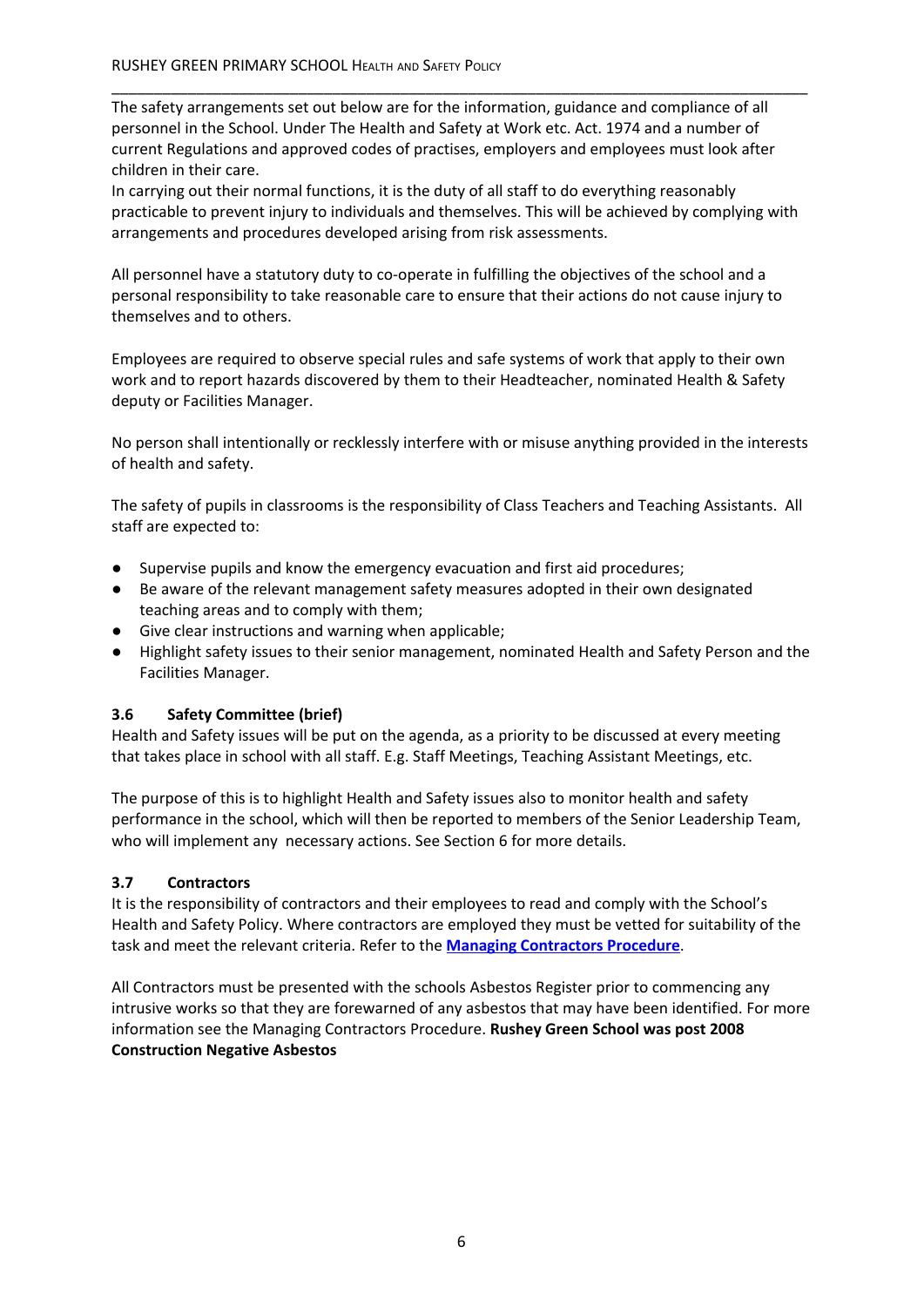The safety arrangements set out below are for the information, guidance and compliance of all personnel in the School. Under The Health and Safety at Work etc. Act. 1974 and a number of current Regulations and approved codes of practises, employers and employees must look after children in their care.

\_\_\_\_\_\_\_\_\_\_\_\_\_\_\_\_\_\_\_\_\_\_\_\_\_\_\_\_\_\_\_\_\_\_\_\_\_\_\_\_\_\_\_\_\_\_\_\_\_\_\_\_\_\_\_\_\_\_\_\_\_\_\_\_\_\_\_\_\_\_\_\_\_\_\_\_\_\_\_\_\_\_

In carrying out their normal functions, it is the duty of all staff to do everything reasonably practicable to prevent injury to individuals and themselves. This will be achieved by complying with arrangements and procedures developed arising from risk assessments.

All personnel have a statutory duty to co-operate in fulfilling the objectives of the school and a personal responsibility to take reasonable care to ensure that their actions do not cause injury to themselves and to others.

Employees are required to observe special rules and safe systems of work that apply to their own work and to report hazards discovered by them to their Headteacher, nominated Health & Safety deputy or Facilities Manager.

No person shall intentionally or recklessly interfere with or misuse anything provided in the interests of health and safety.

The safety of pupils in classrooms is the responsibility of Class Teachers and Teaching Assistants. All staff are expected to:

- Supervise pupils and know the emergency evacuation and first aid procedures;
- Be aware of the relevant management safety measures adopted in their own designated teaching areas and to comply with them;
- Give clear instructions and warning when applicable;
- Highlight safety issues to their senior management, nominated Health and Safety Person and the Facilities Manager.

# **3.6 Safety Committee (brief)**

Health and Safety issues will be put on the agenda, as a priority to be discussed at every meeting that takes place in school with all staff. E.g. Staff Meetings, Teaching Assistant Meetings, etc.

The purpose of this is to highlight Health and Safety issues also to monitor health and safety performance in the school, which will then be reported to members of the Senior Leadership Team, who will implement any necessary actions. See Section 6 for more details.

#### **3.7 Contractors**

It is the responsibility of contractors and their employees to read and comply with the School's Health and Safety Policy. Where contractors are employed they must be vetted for suitability of the task and meet the relevant criteria. Refer to the **Managing Contractors Procedure**.

All Contractors must be presented with the schools Asbestos Register prior to commencing any intrusive works so that they are forewarned of any asbestos that may have been identified. For more information see the Managing Contractors Procedure. **Rushey Green School was post 2008 Construction Negative Asbestos**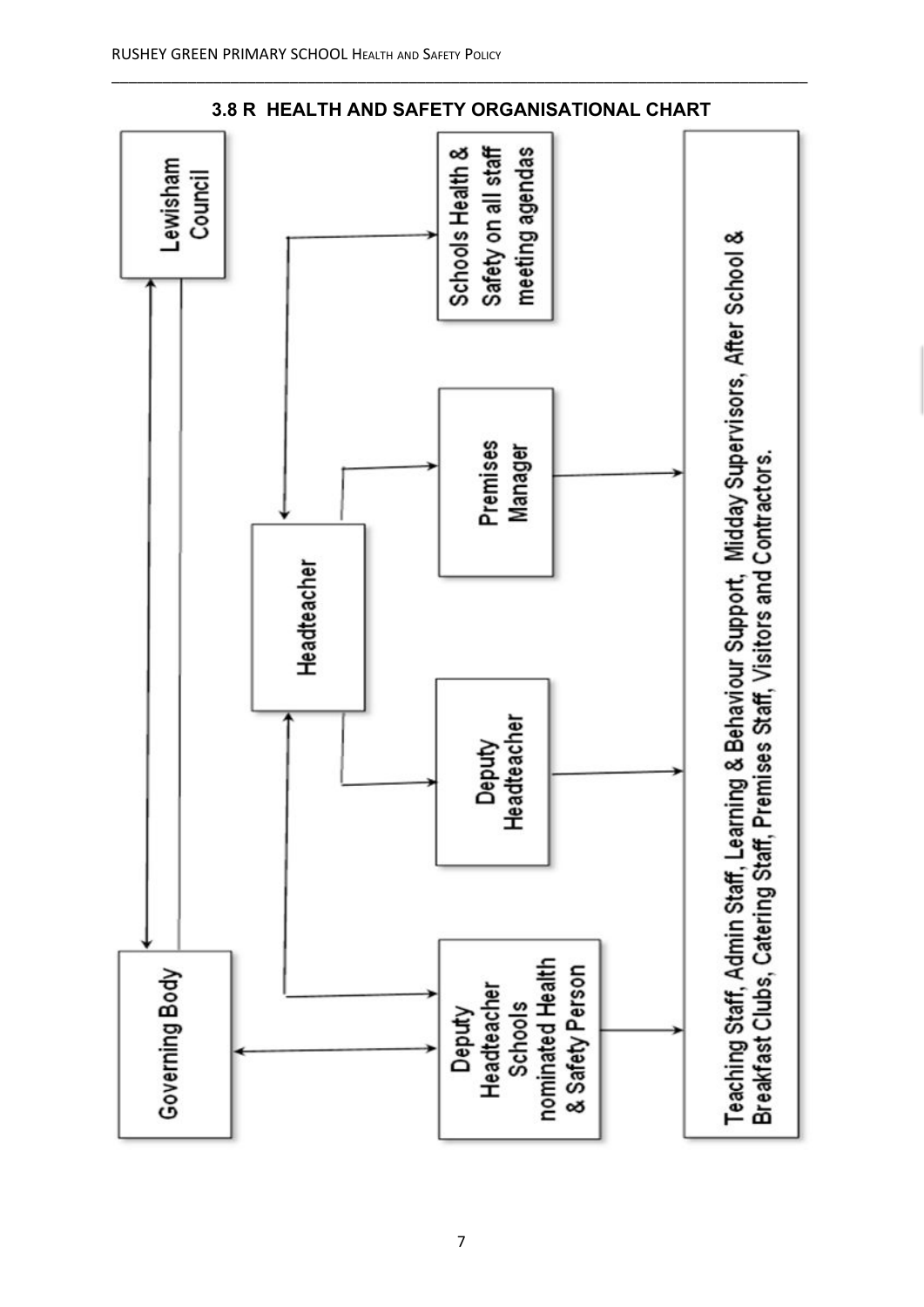

**3.8 R HEALTH AND SAFETY ORGANISATIONAL CHART**

\_\_\_\_\_\_\_\_\_\_\_\_\_\_\_\_\_\_\_\_\_\_\_\_\_\_\_\_\_\_\_\_\_\_\_\_\_\_\_\_\_\_\_\_\_\_\_\_\_\_\_\_\_\_\_\_\_\_\_\_\_\_\_\_\_\_\_\_\_\_\_\_\_\_\_\_\_\_\_\_\_\_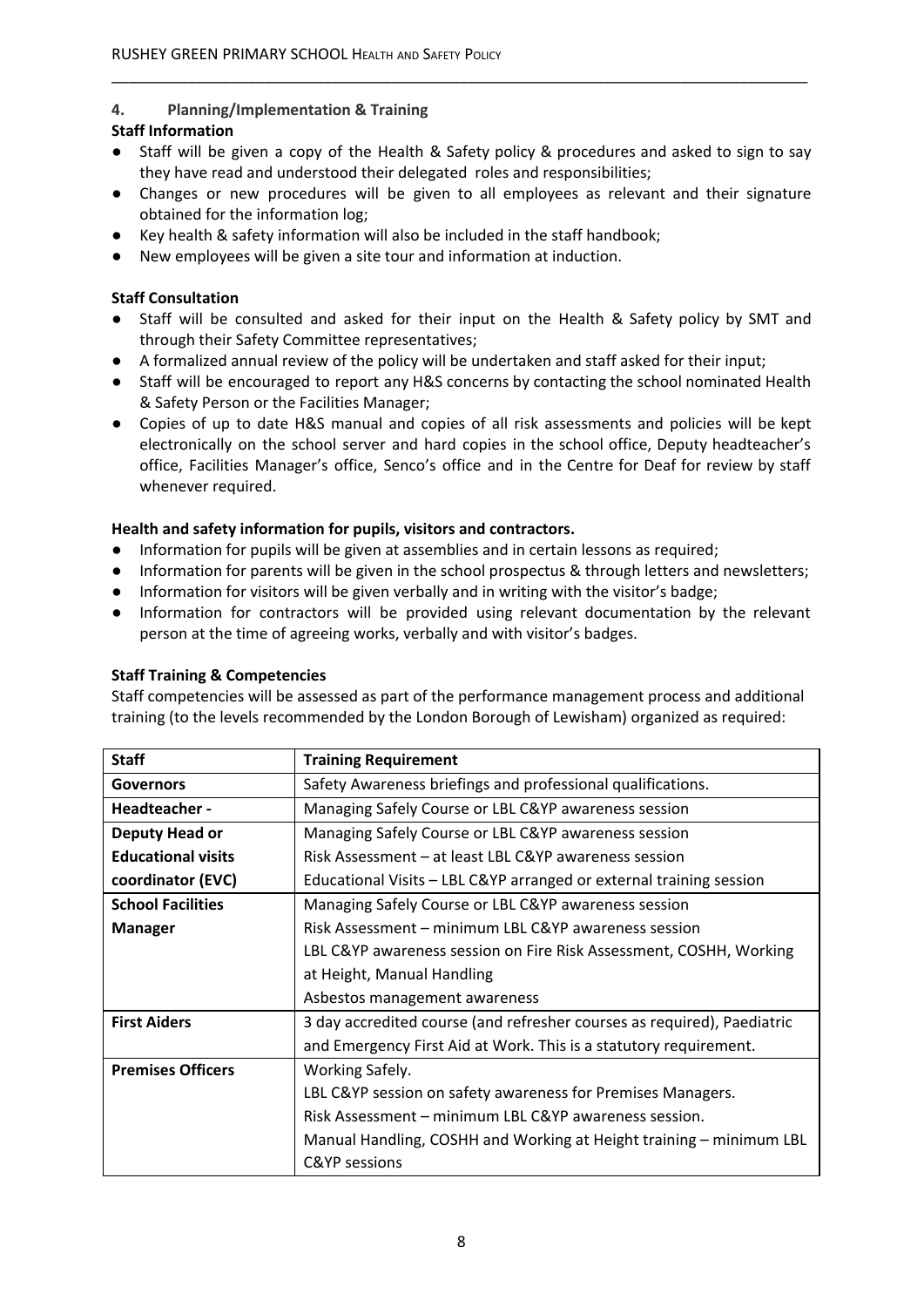# **4. Planning/Implementation & Training**

#### **Staff Information**

● Staff will be given a copy of the Health & Safety policy & procedures and asked to sign to say they have read and understood their delegated roles and responsibilities;

\_\_\_\_\_\_\_\_\_\_\_\_\_\_\_\_\_\_\_\_\_\_\_\_\_\_\_\_\_\_\_\_\_\_\_\_\_\_\_\_\_\_\_\_\_\_\_\_\_\_\_\_\_\_\_\_\_\_\_\_\_\_\_\_\_\_\_\_\_\_\_\_\_\_\_\_\_\_\_\_\_\_

- Changes or new procedures will be given to all employees as relevant and their signature obtained for the information log;
- Key health & safety information will also be included in the staff handbook;
- New employees will be given a site tour and information at induction.

#### **Staff Consultation**

- Staff will be consulted and asked for their input on the Health & Safety policy by SMT and through their Safety Committee representatives;
- A formalized annual review of the policy will be undertaken and staff asked for their input;
- Staff will be encouraged to report any H&S concerns by contacting the school nominated Health & Safety Person or the Facilities Manager;
- Copies of up to date H&S manual and copies of all risk assessments and policies will be kept electronically on the school server and hard copies in the school office, Deputy headteacher's office, Facilities Manager's office, Senco's office and in the Centre for Deaf for review by staff whenever required.

#### **Health and safety information for pupils, visitors and contractors.**

- Information for pupils will be given at assemblies and in certain lessons as required;
- Information for parents will be given in the school prospectus & through letters and newsletters;
- Information for visitors will be given verbally and in writing with the visitor's badge;
- Information for contractors will be provided using relevant documentation by the relevant person at the time of agreeing works, verbally and with visitor's badges.

#### **Staff Training & Competencies**

Staff competencies will be assessed as part of the performance management process and additional training (to the levels recommended by the London Borough of Lewisham) organized as required:

| <b>Staff</b>              | <b>Training Requirement</b>                                             |
|---------------------------|-------------------------------------------------------------------------|
| <b>Governors</b>          | Safety Awareness briefings and professional qualifications.             |
| Headteacher -             | Managing Safely Course or LBL C&YP awareness session                    |
| Deputy Head or            | Managing Safely Course or LBL C&YP awareness session                    |
| <b>Educational visits</b> | Risk Assessment – at least LBL C&YP awareness session                   |
| coordinator (EVC)         | Educational Visits - LBL C&YP arranged or external training session     |
| <b>School Facilities</b>  | Managing Safely Course or LBL C&YP awareness session                    |
| <b>Manager</b>            | Risk Assessment – minimum LBL C&YP awareness session                    |
|                           | LBL C&YP awareness session on Fire Risk Assessment, COSHH, Working      |
|                           | at Height, Manual Handling                                              |
|                           | Asbestos management awareness                                           |
| <b>First Aiders</b>       | 3 day accredited course (and refresher courses as required), Paediatric |
|                           | and Emergency First Aid at Work. This is a statutory requirement.       |
| <b>Premises Officers</b>  | Working Safely.                                                         |
|                           | LBL C&YP session on safety awareness for Premises Managers.             |
|                           | Risk Assessment – minimum LBL C&YP awareness session.                   |
|                           | Manual Handling, COSHH and Working at Height training – minimum LBL     |
|                           | <b>C&amp;YP</b> sessions                                                |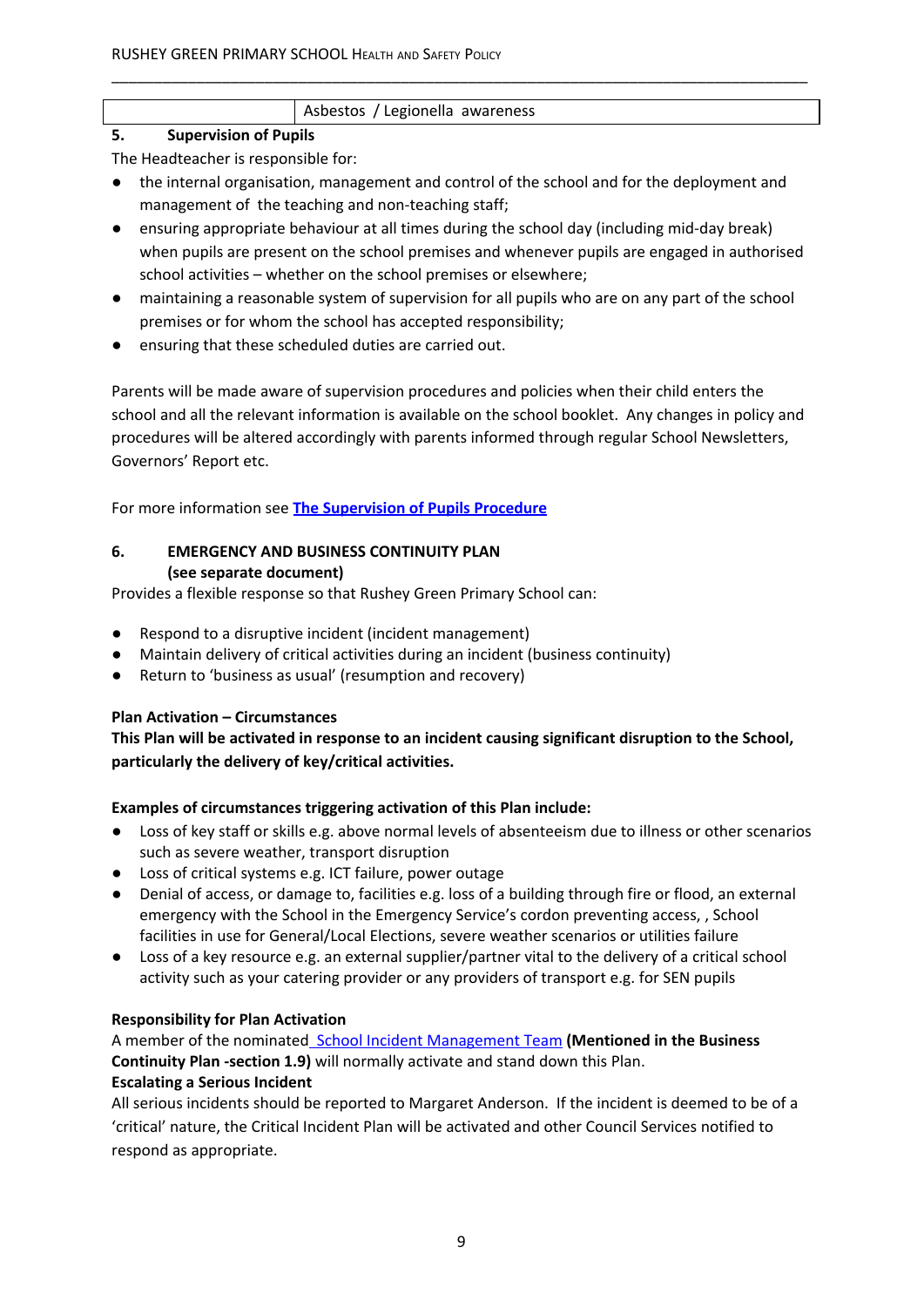# Asbestos / Legionella awareness

# **5. Supervision of Pupils**

- The Headteacher is responsible for:
- the internal organisation, management and control of the school and for the deployment and management of the teaching and non-teaching staff;

\_\_\_\_\_\_\_\_\_\_\_\_\_\_\_\_\_\_\_\_\_\_\_\_\_\_\_\_\_\_\_\_\_\_\_\_\_\_\_\_\_\_\_\_\_\_\_\_\_\_\_\_\_\_\_\_\_\_\_\_\_\_\_\_\_\_\_\_\_\_\_\_\_\_\_\_\_\_\_\_\_\_

- ensuring appropriate behaviour at all times during the school day (including mid-day break) when pupils are present on the school premises and whenever pupils are engaged in authorised school activities – whether on the school premises or elsewhere;
- maintaining a reasonable system of supervision for all pupils who are on any part of the school premises or for whom the school has accepted responsibility;
- ensuring that these scheduled duties are carried out.

Parents will be made aware of supervision procedures and policies when their child enters the school and all the relevant information is available on the school booklet. Any changes in policy and procedures will be altered accordingly with parents informed through regular School Newsletters, Governors' Report etc.

For more information see **The Supervision of Pupils Procedure**

# **6. EMERGENCY AND BUSINESS CONTINUITY PLAN (see separate document)**

Provides a flexible response so that Rushey Green Primary School can:

- Respond to a disruptive incident (incident management)
- Maintain delivery of critical activities during an incident (business continuity)
- Return to 'business as usual' (resumption and recovery)

# **Plan Activation – Circumstances**

**This Plan will be activated in response to an incident causing significant disruption to the School, particularly the delivery of key/critical activities.**

# **Examples of circumstances triggering activation of this Plan include:**

- Loss of key staff or skills e.g. above normal levels of absenteeism due to illness or other scenarios such as severe weather, transport disruption
- Loss of critical systems e.g. ICT failure, power outage
- Denial of access, or damage to, facilities e.g. loss of a building through fire or flood, an external emergency with the School in the Emergency Service's cordon preventing access, , School facilities in use for General/Local Elections, severe weather scenarios or utilities failure
- **●** Loss of a key resource e.g. an external supplier/partner vital to the delivery of a critical school activity such as your catering provider or any providers of transport e.g. for SEN pupils

# **Responsibility for Plan Activation**

A member of the nominated School Incident Management Team **(Mentioned in the Business Continuity Plan -section 1.9)** will normally activate and stand down this Plan.

# **Escalating a Serious Incident**

All serious incidents should be reported to Margaret Anderson. If the incident is deemed to be of a 'critical' nature, the Critical Incident Plan will be activated and other Council Services notified to respond as appropriate.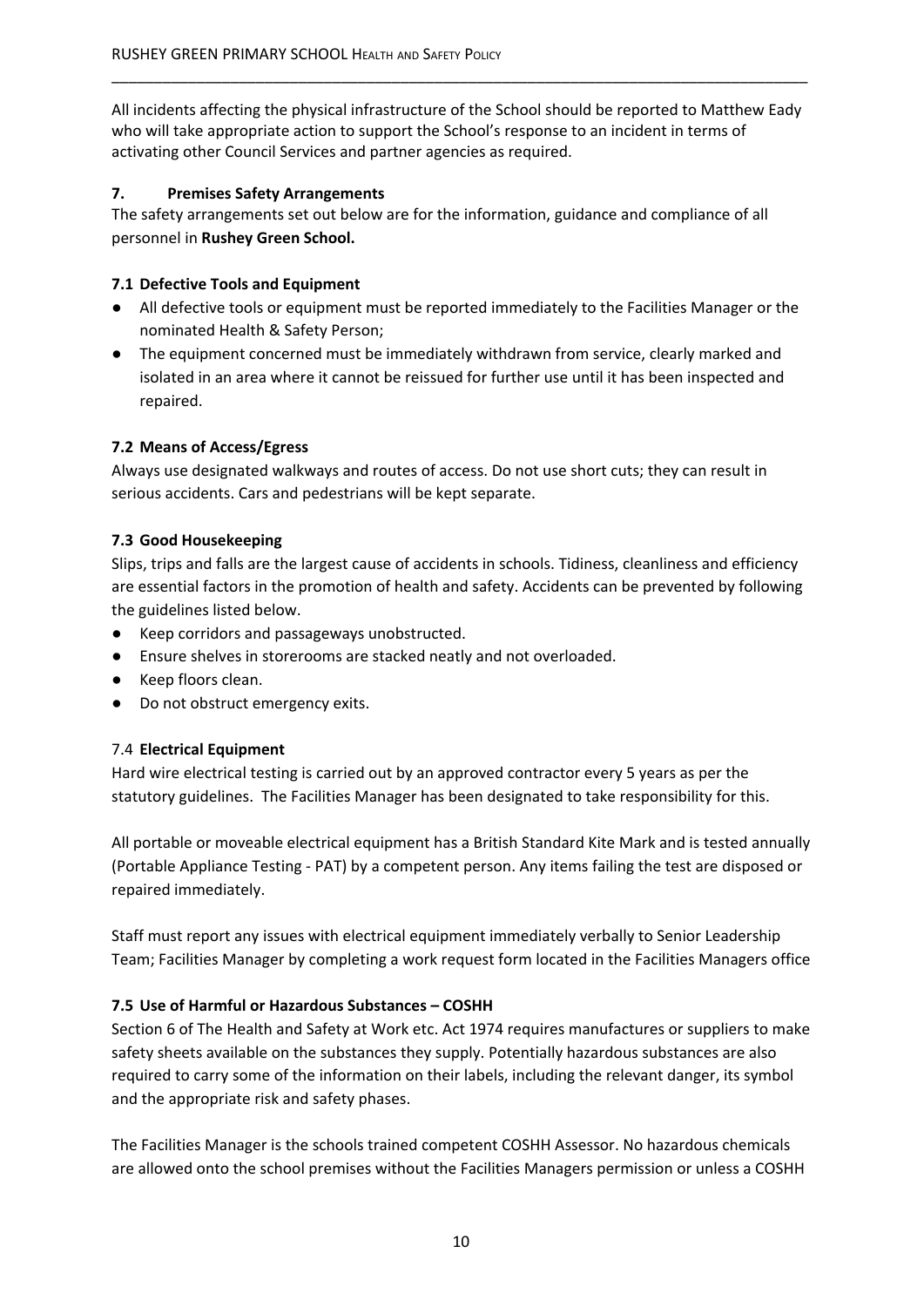All incidents affecting the physical infrastructure of the School should be reported to Matthew Eady who will take appropriate action to support the School's response to an incident in terms of activating other Council Services and partner agencies as required.

\_\_\_\_\_\_\_\_\_\_\_\_\_\_\_\_\_\_\_\_\_\_\_\_\_\_\_\_\_\_\_\_\_\_\_\_\_\_\_\_\_\_\_\_\_\_\_\_\_\_\_\_\_\_\_\_\_\_\_\_\_\_\_\_\_\_\_\_\_\_\_\_\_\_\_\_\_\_\_\_\_\_

#### **7. Premises Safety Arrangements**

The safety arrangements set out below are for the information, guidance and compliance of all personnel in **Rushey Green School.**

#### **7.1 Defective Tools and Equipment**

- All defective tools or equipment must be reported immediately to the Facilities Manager or the nominated Health & Safety Person;
- **●** The equipment concerned must be immediately withdrawn from service, clearly marked and isolated in an area where it cannot be reissued for further use until it has been inspected and repaired.

#### **7.2 Means of Access/Egress**

Always use designated walkways and routes of access. Do not use short cuts; they can result in serious accidents. Cars and pedestrians will be kept separate.

#### **7.3 Good Housekeeping**

Slips, trips and falls are the largest cause of accidents in schools. Tidiness, cleanliness and efficiency are essential factors in the promotion of health and safety. Accidents can be prevented by following the guidelines listed below.

- Keep corridors and passageways unobstructed.
- Ensure shelves in storerooms are stacked neatly and not overloaded.
- Keep floors clean.
- Do not obstruct emergency exits.

#### 7.4 **Electrical Equipment**

Hard wire electrical testing is carried out by an approved contractor every 5 years as per the statutory guidelines. The Facilities Manager has been designated to take responsibility for this.

All portable or moveable electrical equipment has a British Standard Kite Mark and is tested annually (Portable Appliance Testing - PAT) by a competent person. Any items failing the test are disposed or repaired immediately.

Staff must report any issues with electrical equipment immediately verbally to Senior Leadership Team; Facilities Manager by completing a work request form located in the Facilities Managers office

#### **7.5 Use of Harmful or Hazardous Substances – COSHH**

Section 6 of The Health and Safety at Work etc. Act 1974 requires manufactures or suppliers to make safety sheets available on the substances they supply. Potentially hazardous substances are also required to carry some of the information on their labels, including the relevant danger, its symbol and the appropriate risk and safety phases.

The Facilities Manager is the schools trained competent COSHH Assessor. No hazardous chemicals are allowed onto the school premises without the Facilities Managers permission or unless a COSHH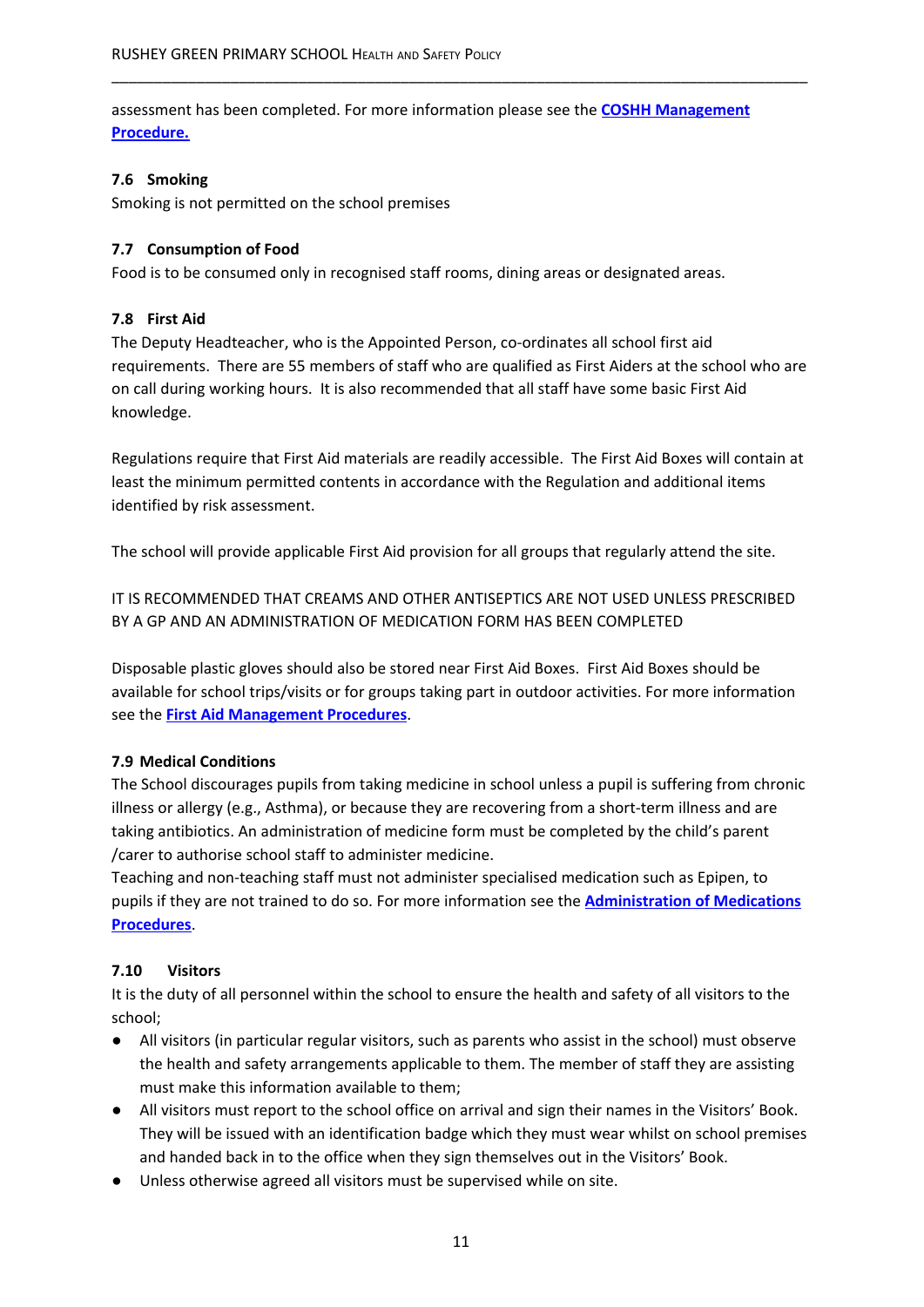assessment has been completed. For more information please see the **COSHH Management Procedure.**

\_\_\_\_\_\_\_\_\_\_\_\_\_\_\_\_\_\_\_\_\_\_\_\_\_\_\_\_\_\_\_\_\_\_\_\_\_\_\_\_\_\_\_\_\_\_\_\_\_\_\_\_\_\_\_\_\_\_\_\_\_\_\_\_\_\_\_\_\_\_\_\_\_\_\_\_\_\_\_\_\_\_

#### **7.6 Smoking**

Smoking is not permitted on the school premises

## **7.7 Consumption of Food**

Food is to be consumed only in recognised staff rooms, dining areas or designated areas.

## **7.8 First Aid**

The Deputy Headteacher, who is the Appointed Person, co-ordinates all school first aid requirements. There are 55 members of staff who are qualified as First Aiders at the school who are on call during working hours. It is also recommended that all staff have some basic First Aid knowledge.

Regulations require that First Aid materials are readily accessible. The First Aid Boxes will contain at least the minimum permitted contents in accordance with the Regulation and additional items identified by risk assessment.

The school will provide applicable First Aid provision for all groups that regularly attend the site.

IT IS RECOMMENDED THAT CREAMS AND OTHER ANTISEPTICS ARE NOT USED UNLESS PRESCRIBED BY A GP AND AN ADMINISTRATION OF MEDICATION FORM HAS BEEN COMPLETED

Disposable plastic gloves should also be stored near First Aid Boxes. First Aid Boxes should be available for school trips/visits or for groups taking part in outdoor activities. For more information see the **First Aid Management Procedures**.

#### **7.9 Medical Conditions**

The School discourages pupils from taking medicine in school unless a pupil is suffering from chronic illness or allergy (e.g., Asthma), or because they are recovering from a short-term illness and are taking antibiotics. An administration of medicine form must be completed by the child's parent /carer to authorise school staff to administer medicine.

Teaching and non-teaching staff must not administer specialised medication such as Epipen, to pupils if they are not trained to do so. For more information see the **Administration of Medications Procedures**.

# **7.10 Visitors**

It is the duty of all personnel within the school to ensure the health and safety of all visitors to the school;

- All visitors (in particular regular visitors, such as parents who assist in the school) must observe the health and safety arrangements applicable to them. The member of staff they are assisting must make this information available to them;
- All visitors must report to the school office on arrival and sign their names in the Visitors' Book. They will be issued with an identification badge which they must wear whilst on school premises and handed back in to the office when they sign themselves out in the Visitors' Book.
- Unless otherwise agreed all visitors must be supervised while on site.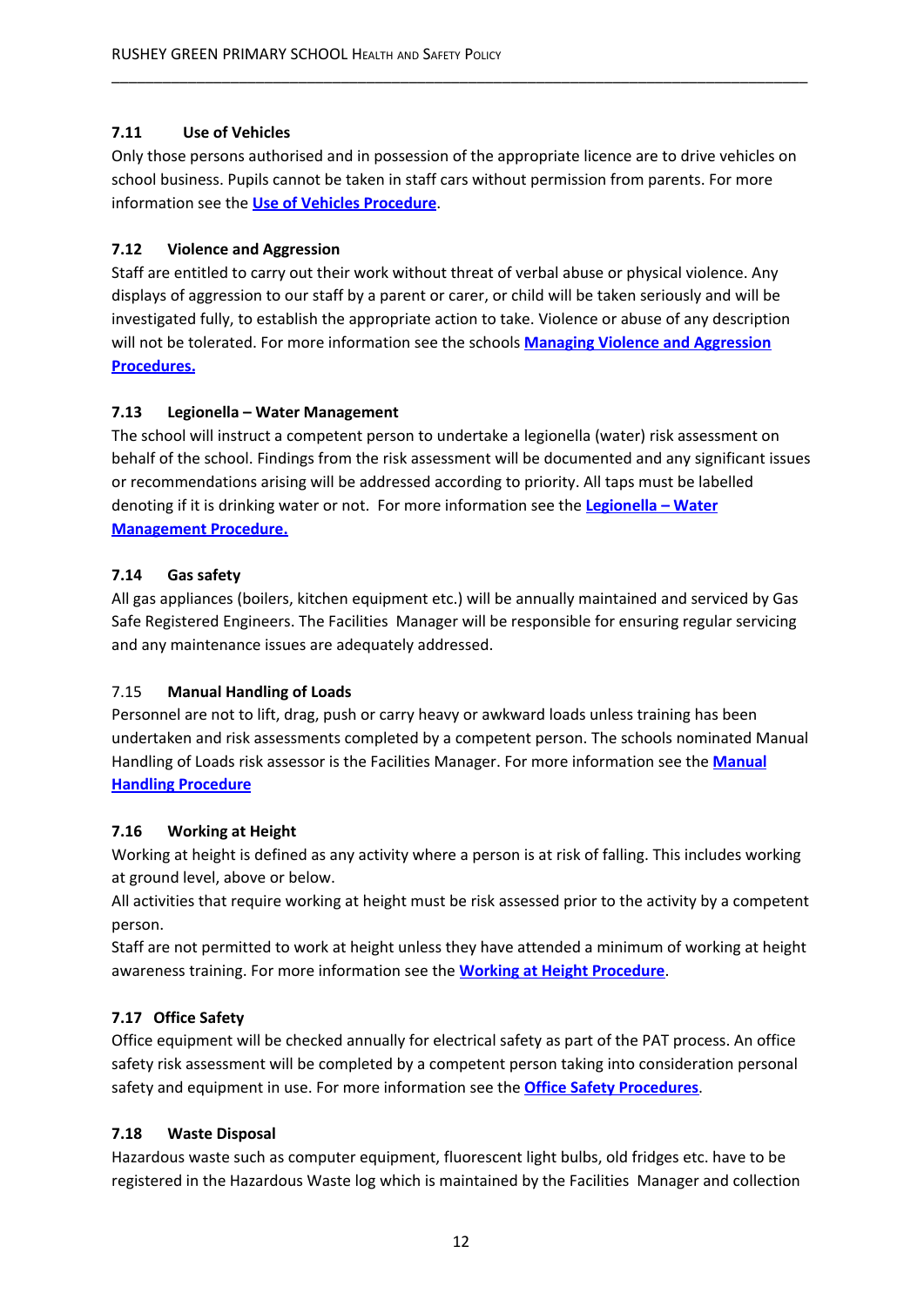# **7.11 Use of Vehicles**

Only those persons authorised and in possession of the appropriate licence are to drive vehicles on school business. Pupils cannot be taken in staff cars without permission from parents. For more information see the **Use of Vehicles Procedure**.

\_\_\_\_\_\_\_\_\_\_\_\_\_\_\_\_\_\_\_\_\_\_\_\_\_\_\_\_\_\_\_\_\_\_\_\_\_\_\_\_\_\_\_\_\_\_\_\_\_\_\_\_\_\_\_\_\_\_\_\_\_\_\_\_\_\_\_\_\_\_\_\_\_\_\_\_\_\_\_\_\_\_

# **7.12 Violence and Aggression**

Staff are entitled to carry out their work without threat of verbal abuse or physical violence. Any displays of aggression to our staff by a parent or carer, or child will be taken seriously and will be investigated fully, to establish the appropriate action to take. Violence or abuse of any description will not be tolerated. For more information see the schools **Managing Violence and Aggression Procedures.**

# **7.13 Legionella – Water Management**

The school will instruct a competent person to undertake a legionella (water) risk assessment on behalf of the school. Findings from the risk assessment will be documented and any significant issues or recommendations arising will be addressed according to priority. All taps must be labelled denoting if it is drinking water or not. For more information see the **Legionella – Water Management Procedure.**

# **7.14 Gas safety**

All gas appliances (boilers, kitchen equipment etc.) will be annually maintained and serviced by Gas Safe Registered Engineers. The Facilities Manager will be responsible for ensuring regular servicing and any maintenance issues are adequately addressed.

# 7.15 **Manual Handling of Loads**

Personnel are not to lift, drag, push or carry heavy or awkward loads unless training has been undertaken and risk assessments completed by a competent person. The schools nominated Manual Handling of Loads risk assessor is the Facilities Manager. For more information see the **Manual Handling Procedure**

# **7.16 Working at Height**

Working at height is defined as any activity where a person is at risk of falling. This includes working at ground level, above or below.

All activities that require working at height must be risk assessed prior to the activity by a competent person.

Staff are not permitted to work at height unless they have attended a minimum of working at height awareness training. For more information see the **Working at Height Procedure**.

# **7.17 Office Safety**

Office equipment will be checked annually for electrical safety as part of the PAT process. An office safety risk assessment will be completed by a competent person taking into consideration personal safety and equipment in use. For more information see the **Office Safety Procedures**.

# **7.18 Waste Disposal**

Hazardous waste such as computer equipment, fluorescent light bulbs, old fridges etc. have to be registered in the Hazardous Waste log which is maintained by the Facilities Manager and collection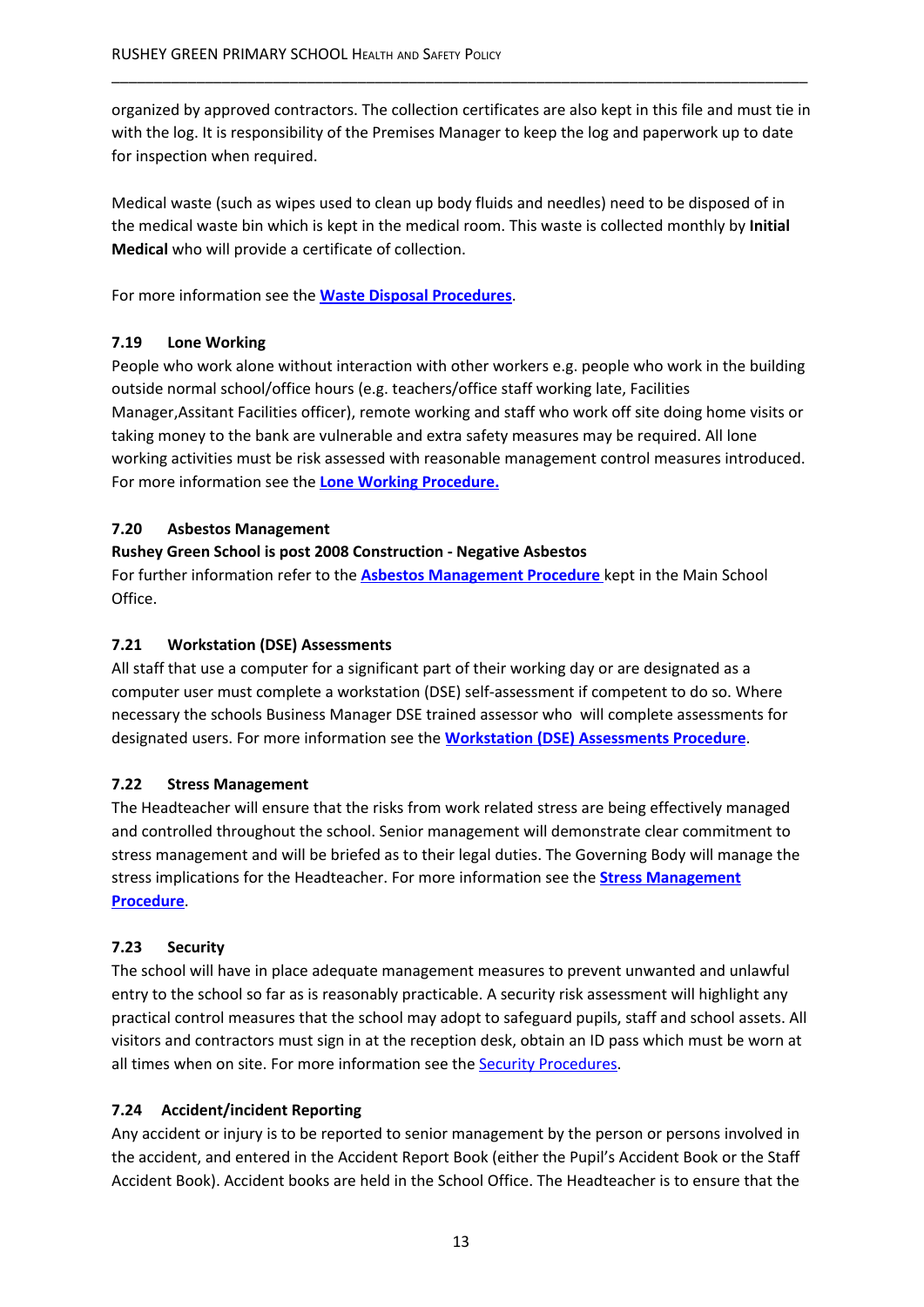organized by approved contractors. The collection certificates are also kept in this file and must tie in with the log. It is responsibility of the Premises Manager to keep the log and paperwork up to date for inspection when required.

\_\_\_\_\_\_\_\_\_\_\_\_\_\_\_\_\_\_\_\_\_\_\_\_\_\_\_\_\_\_\_\_\_\_\_\_\_\_\_\_\_\_\_\_\_\_\_\_\_\_\_\_\_\_\_\_\_\_\_\_\_\_\_\_\_\_\_\_\_\_\_\_\_\_\_\_\_\_\_\_\_\_

Medical waste (such as wipes used to clean up body fluids and needles) need to be disposed of in the medical waste bin which is kept in the medical room. This waste is collected monthly by **Initial Medical** who will provide a certificate of collection.

For more information see the **Waste Disposal Procedures**.

# **7.19 Lone Working**

People who work alone without interaction with other workers e.g. people who work in the building outside normal school/office hours (e.g. teachers/office staff working late, Facilities Manager,Assitant Facilities officer), remote working and staff who work off site doing home visits or taking money to the bank are vulnerable and extra safety measures may be required. All lone working activities must be risk assessed with reasonable management control measures introduced. For more information see the **Lone Working Procedure.**

#### **7.20 Asbestos Management**

#### **Rushey Green School is post 2008 Construction - Negative Asbestos**

For further information refer to the **Asbestos Management Procedure** kept in the Main School Office.

#### **7.21 Workstation (DSE) Assessments**

All staff that use a computer for a significant part of their working day or are designated as a computer user must complete a workstation (DSE) self-assessment if competent to do so. Where necessary the schools Business Manager DSE trained assessor who will complete assessments for designated users. For more information see the **Workstation (DSE) Assessments Procedure**.

# **7.22 Stress Management**

The Headteacher will ensure that the risks from work related stress are being effectively managed and controlled throughout the school. Senior management will demonstrate clear commitment to stress management and will be briefed as to their legal duties. The Governing Body will manage the stress implications for the Headteacher. For more information see the **Stress Management Procedure**.

# **7.23 Security**

The school will have in place adequate management measures to prevent unwanted and unlawful entry to the school so far as is reasonably practicable. A security risk assessment will highlight any practical control measures that the school may adopt to safeguard pupils, staff and school assets. All visitors and contractors must sign in at the reception desk, obtain an ID pass which must be worn at all times when on site. For more information see the **Security Procedures**.

# **7.24 Accident/incident Reporting**

Any accident or injury is to be reported to senior management by the person or persons involved in the accident, and entered in the Accident Report Book (either the Pupil's Accident Book or the Staff Accident Book). Accident books are held in the School Office. The Headteacher is to ensure that the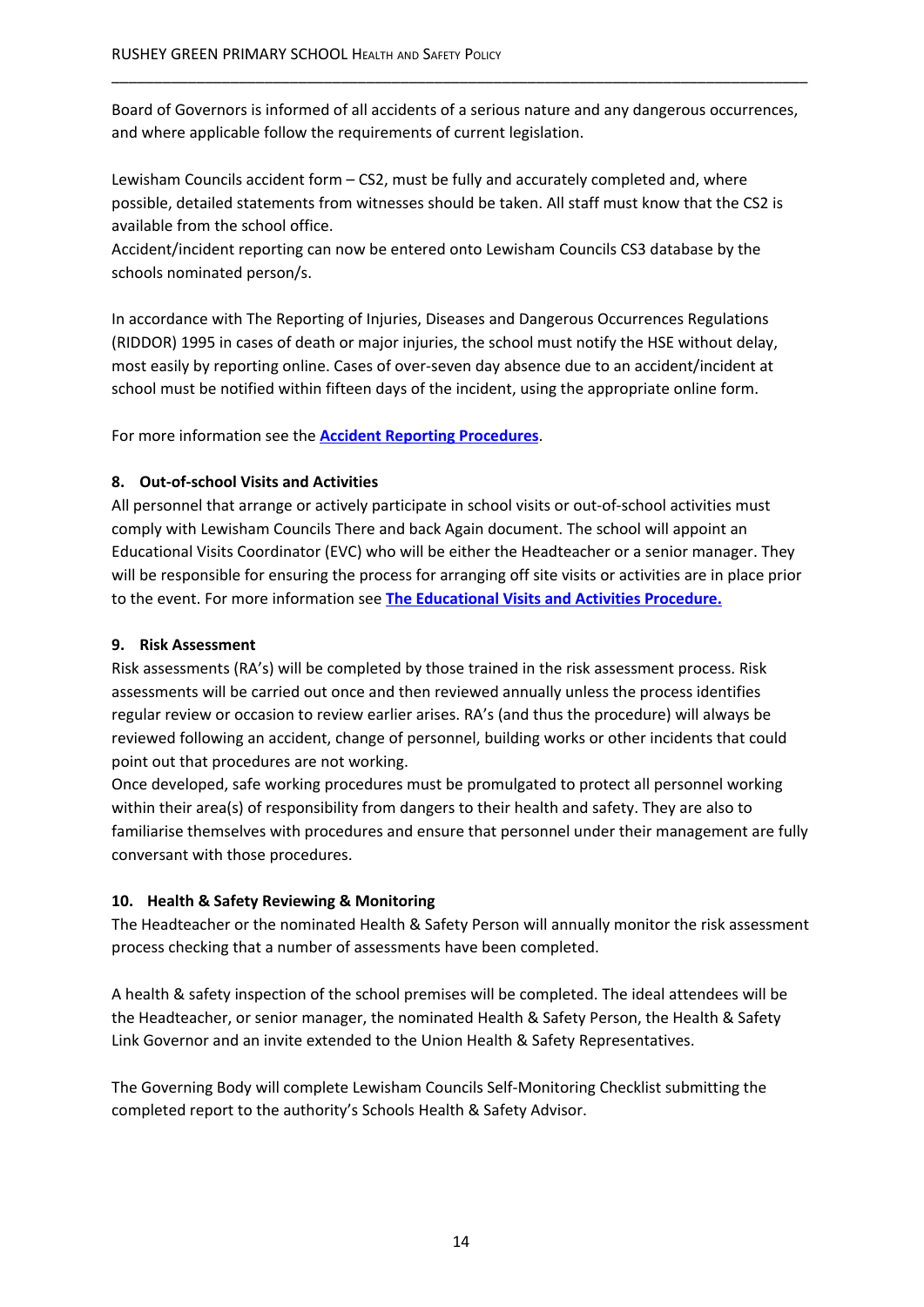Board of Governors is informed of all accidents of a serious nature and any dangerous occurrences, and where applicable follow the requirements of current legislation.

\_\_\_\_\_\_\_\_\_\_\_\_\_\_\_\_\_\_\_\_\_\_\_\_\_\_\_\_\_\_\_\_\_\_\_\_\_\_\_\_\_\_\_\_\_\_\_\_\_\_\_\_\_\_\_\_\_\_\_\_\_\_\_\_\_\_\_\_\_\_\_\_\_\_\_\_\_\_\_\_\_\_

Lewisham Councils accident form – CS2, must be fully and accurately completed and, where possible, detailed statements from witnesses should be taken. All staff must know that the CS2 is available from the school office.

Accident/incident reporting can now be entered onto Lewisham Councils CS3 database by the schools nominated person/s.

In accordance with The Reporting of Injuries, Diseases and Dangerous Occurrences Regulations (RIDDOR) 1995 in cases of death or major injuries, the school must notify the HSE without delay, most easily by reporting online. Cases of over-seven day absence due to an accident/incident at school must be notified within fifteen days of the incident, using the appropriate online form.

For more information see the **Accident Reporting Procedures**.

#### **8. Out-of-school Visits and Activities**

All personnel that arrange or actively participate in school visits or out-of-school activities must comply with Lewisham Councils There and back Again document. The school will appoint an Educational Visits Coordinator (EVC) who will be either the Headteacher or a senior manager. They will be responsible for ensuring the process for arranging off site visits or activities are in place prior to the event. For more information see **The Educational Visits and Activities Procedure.**

## **9. Risk Assessment**

Risk assessments (RA's) will be completed by those trained in the risk assessment process. Risk assessments will be carried out once and then reviewed annually unless the process identifies regular review or occasion to review earlier arises. RA's (and thus the procedure) will always be reviewed following an accident, change of personnel, building works or other incidents that could point out that procedures are not working.

Once developed, safe working procedures must be promulgated to protect all personnel working within their area(s) of responsibility from dangers to their health and safety. They are also to familiarise themselves with procedures and ensure that personnel under their management are fully conversant with those procedures.

# **10. Health & Safety Reviewing & Monitoring**

The Headteacher or the nominated Health & Safety Person will annually monitor the risk assessment process checking that a number of assessments have been completed.

A health & safety inspection of the school premises will be completed. The ideal attendees will be the Headteacher, or senior manager, the nominated Health & Safety Person, the Health & Safety Link Governor and an invite extended to the Union Health & Safety Representatives.

The Governing Body will complete Lewisham Councils Self-Monitoring Checklist submitting the completed report to the authority's Schools Health & Safety Advisor.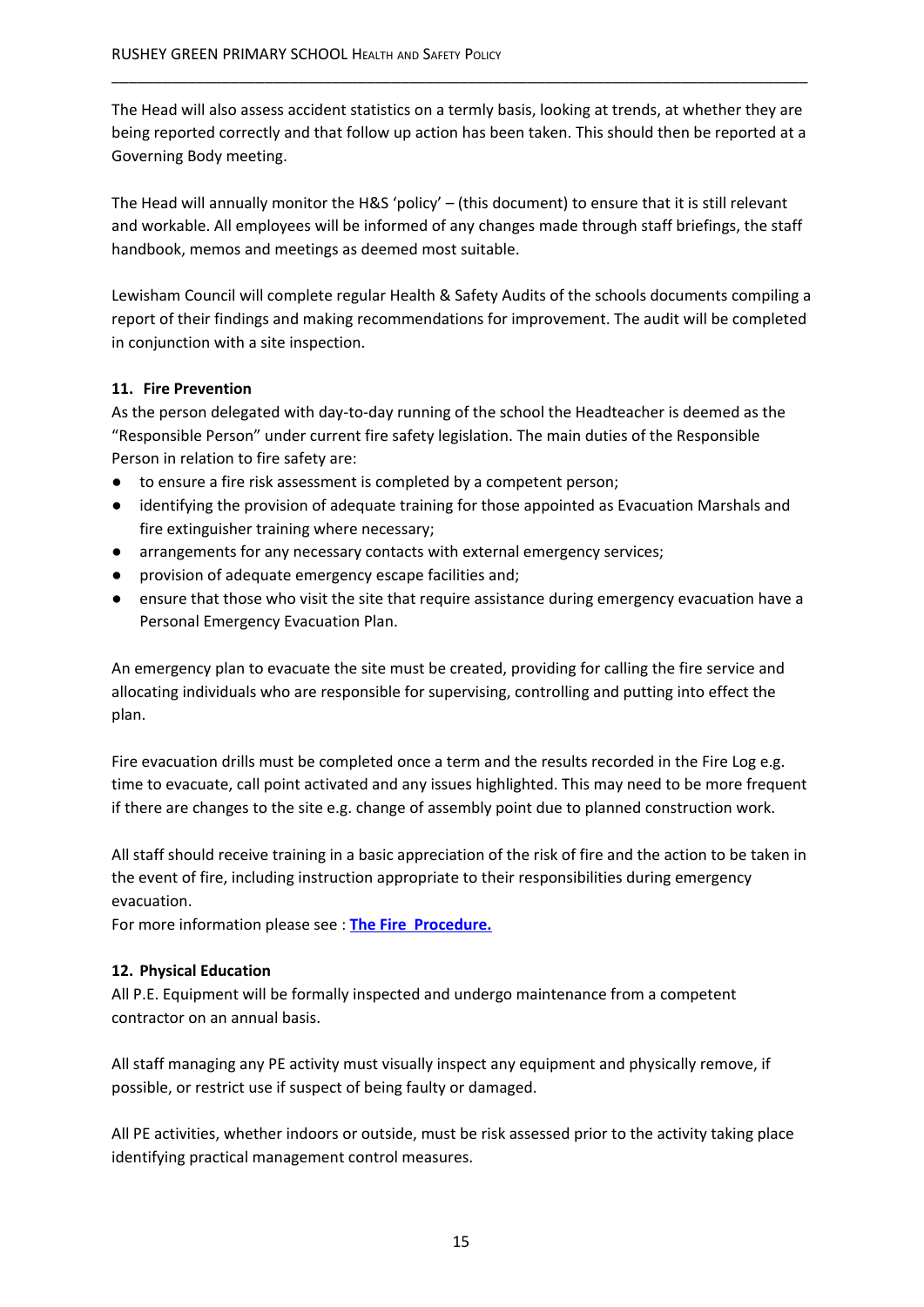The Head will also assess accident statistics on a termly basis, looking at trends, at whether they are being reported correctly and that follow up action has been taken. This should then be reported at a Governing Body meeting.

\_\_\_\_\_\_\_\_\_\_\_\_\_\_\_\_\_\_\_\_\_\_\_\_\_\_\_\_\_\_\_\_\_\_\_\_\_\_\_\_\_\_\_\_\_\_\_\_\_\_\_\_\_\_\_\_\_\_\_\_\_\_\_\_\_\_\_\_\_\_\_\_\_\_\_\_\_\_\_\_\_\_

The Head will annually monitor the H&S 'policy' – (this document) to ensure that it is still relevant and workable. All employees will be informed of any changes made through staff briefings, the staff handbook, memos and meetings as deemed most suitable.

Lewisham Council will complete regular Health & Safety Audits of the schools documents compiling a report of their findings and making recommendations for improvement. The audit will be completed in conjunction with a site inspection.

# **11. Fire Prevention**

As the person delegated with day-to-day running of the school the Headteacher is deemed as the "Responsible Person" under current fire safety legislation. The main duties of the Responsible Person in relation to fire safety are:

- to ensure a fire risk assessment is completed by a competent person;
- identifying the provision of adequate training for those appointed as Evacuation Marshals and fire extinguisher training where necessary;
- arrangements for any necessary contacts with external emergency services;
- provision of adequate emergency escape facilities and;
- ensure that those who visit the site that require assistance during emergency evacuation have a Personal Emergency Evacuation Plan.

An emergency plan to evacuate the site must be created, providing for calling the fire service and allocating individuals who are responsible for supervising, controlling and putting into effect the plan.

Fire evacuation drills must be completed once a term and the results recorded in the Fire Log e.g. time to evacuate, call point activated and any issues highlighted. This may need to be more frequent if there are changes to the site e.g. change of assembly point due to planned construction work.

All staff should receive training in a basic appreciation of the risk of fire and the action to be taken in the event of fire, including instruction appropriate to their responsibilities during emergency evacuation.

For more information please see : **The Fire Procedure.**

#### **12. Physical Education**

All P.E. Equipment will be formally inspected and undergo maintenance from a competent contractor on an annual basis.

All staff managing any PE activity must visually inspect any equipment and physically remove, if possible, or restrict use if suspect of being faulty or damaged.

All PE activities, whether indoors or outside, must be risk assessed prior to the activity taking place identifying practical management control measures.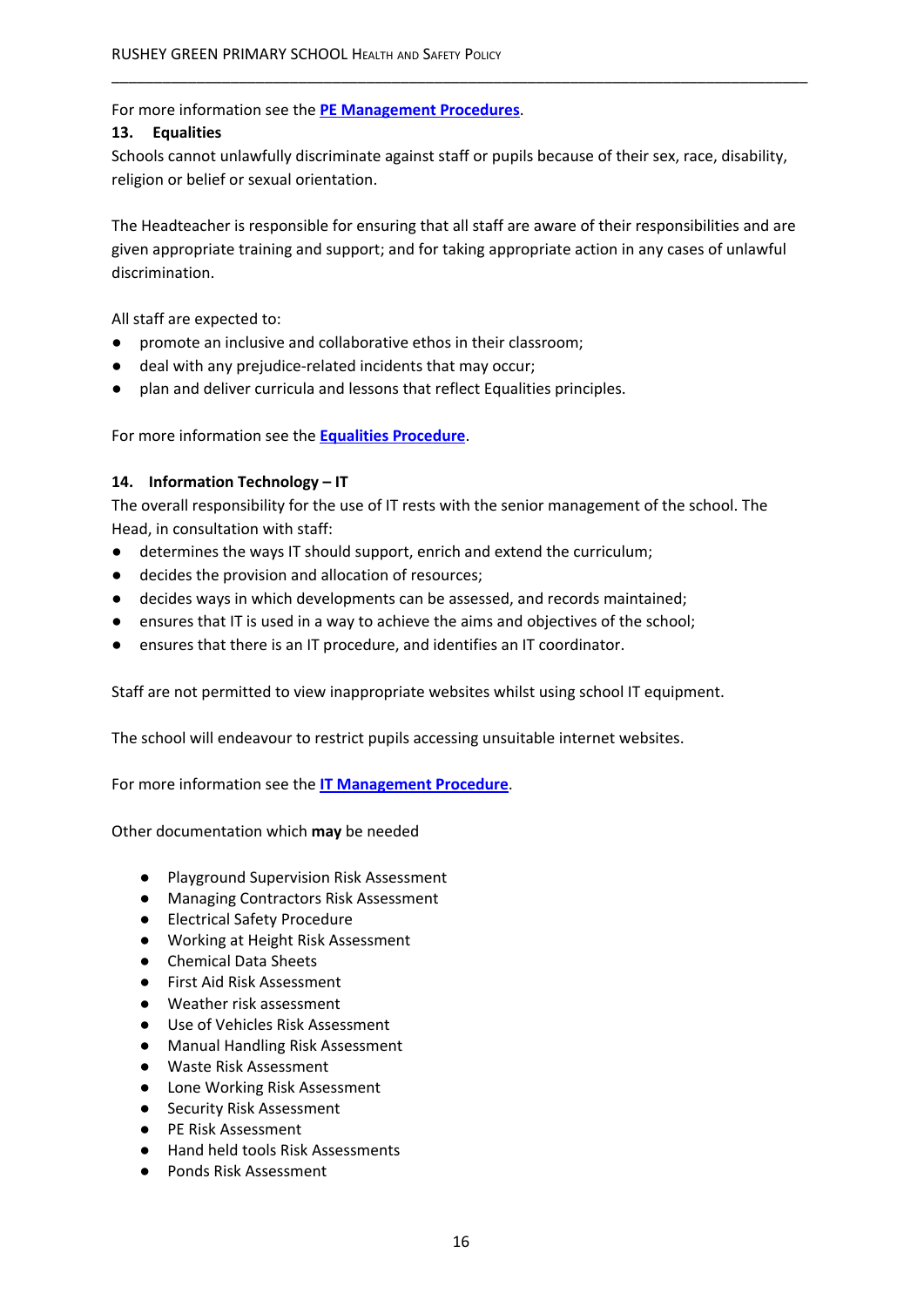For more information see the **PE Management Procedures**.

#### **13. Equalities**

Schools cannot unlawfully discriminate against staff or pupils because of their sex, race, disability, religion or belief or sexual orientation.

\_\_\_\_\_\_\_\_\_\_\_\_\_\_\_\_\_\_\_\_\_\_\_\_\_\_\_\_\_\_\_\_\_\_\_\_\_\_\_\_\_\_\_\_\_\_\_\_\_\_\_\_\_\_\_\_\_\_\_\_\_\_\_\_\_\_\_\_\_\_\_\_\_\_\_\_\_\_\_\_\_\_

The Headteacher is responsible for ensuring that all staff are aware of their responsibilities and are given appropriate training and support; and for taking appropriate action in any cases of unlawful discrimination.

All staff are expected to:

- promote an inclusive and collaborative ethos in their classroom;
- deal with any prejudice-related incidents that may occur;
- plan and deliver curricula and lessons that reflect Equalities principles.

For more information see the **Equalities Procedure**.

#### **14. Information Technology – IT**

The overall responsibility for the use of IT rests with the senior management of the school. The Head, in consultation with staff:

- determines the ways IT should support, enrich and extend the curriculum;
- decides the provision and allocation of resources;
- decides ways in which developments can be assessed, and records maintained;
- ensures that IT is used in a way to achieve the aims and objectives of the school;
- ensures that there is an IT procedure, and identifies an IT coordinator.

Staff are not permitted to view inappropriate websites whilst using school IT equipment.

The school will endeavour to restrict pupils accessing unsuitable internet websites.

For more information see the **IT Management Procedure**.

Other documentation which **may** be needed

- Playground Supervision Risk Assessment
- Managing Contractors Risk Assessment
- Electrical Safety Procedure
- Working at Height Risk Assessment
- Chemical Data Sheets
- First Aid Risk Assessment
- Weather risk assessment
- Use of Vehicles Risk Assessment
- Manual Handling Risk Assessment
- Waste Risk Assessment
- Lone Working Risk Assessment
- Security Risk Assessment
- PE Risk Assessment
- Hand held tools Risk Assessments
- Ponds Risk Assessment